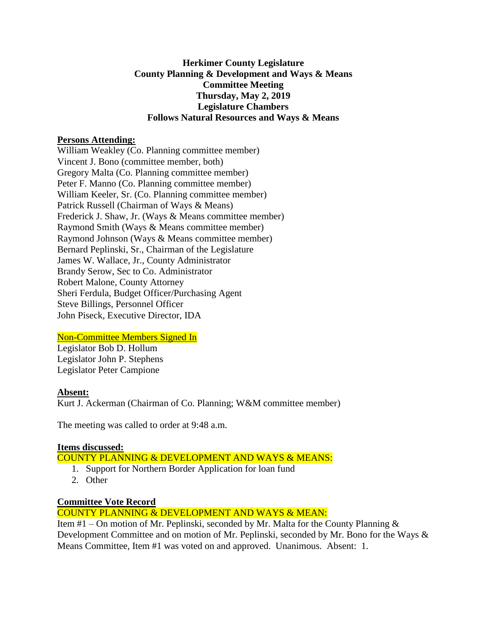### **Herkimer County Legislature County Planning & Development and Ways & Means Committee Meeting Thursday, May 2, 2019 Legislature Chambers Follows Natural Resources and Ways & Means**

### **Persons Attending:**

William Weakley (Co. Planning committee member) Vincent J. Bono (committee member, both) Gregory Malta (Co. Planning committee member) Peter F. Manno (Co. Planning committee member) William Keeler, Sr. (Co. Planning committee member) Patrick Russell (Chairman of Ways & Means) Frederick J. Shaw, Jr. (Ways & Means committee member) Raymond Smith (Ways & Means committee member) Raymond Johnson (Ways & Means committee member) Bernard Peplinski, Sr., Chairman of the Legislature James W. Wallace, Jr., County Administrator Brandy Serow, Sec to Co. Administrator Robert Malone, County Attorney Sheri Ferdula, Budget Officer/Purchasing Agent Steve Billings, Personnel Officer John Piseck, Executive Director, IDA

# Non-Committee Members Signed In

Legislator Bob D. Hollum Legislator John P. Stephens Legislator Peter Campione

# **Absent:**

Kurt J. Ackerman (Chairman of Co. Planning; W&M committee member)

The meeting was called to order at 9:48 a.m.

# **Items discussed:**

### COUNTY PLANNING & DEVELOPMENT AND WAYS & MEANS:

- 1. Support for Northern Border Application for loan fund
- 2. Other

# **Committee Vote Record**

COUNTY PLANNING & DEVELOPMENT AND WAYS & MEAN:

Item  $#1 -$ On motion of Mr. Peplinski, seconded by Mr. Malta for the County Planning  $\&$ Development Committee and on motion of Mr. Peplinski, seconded by Mr. Bono for the Ways & Means Committee, Item #1 was voted on and approved. Unanimous. Absent: 1.